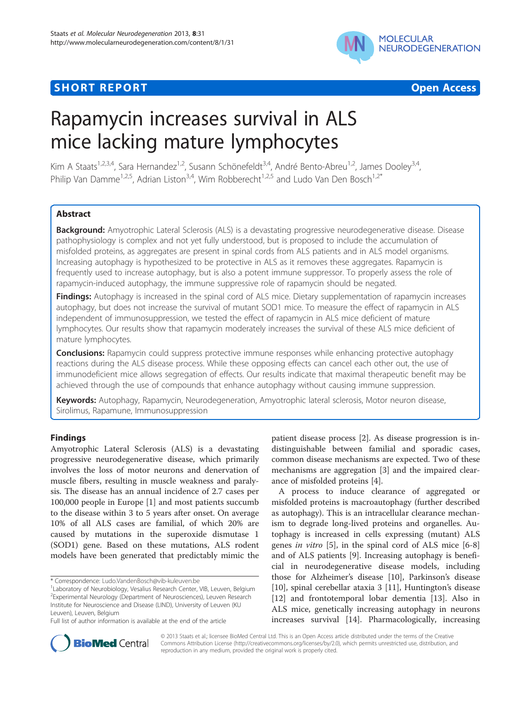## **SHORT REPORT CONTRACT CONTRACT CONTRACT CONTRACT CONTRACT CONTRACT CONTRACT CONTRACT CONTRACT CONTRACT CONTRACT CONTRACT CONTRACT CONTRACT CONTRACT CONTRACT CONTRACT CONTRACT CONTRACT CONTRACT CONTRACT CONTRACT CONTRACT C**



# Rapamycin increases survival in ALS mice lacking mature lymphocytes

Kim A Staats<sup>1,2,3,4</sup>, Sara Hernandez<sup>1,2</sup>, Susann Schönefeldt<sup>3,4</sup>, André Bento-Abreu<sup>1,2</sup>, James Dooley<sup>3,4</sup>, Philip Van Damme<sup>1,2,5</sup>, Adrian Liston<sup>3,4</sup>, Wim Robberecht<sup>1,2,5</sup> and Ludo Van Den Bosch<sup>1,2\*</sup>

## Abstract

Background: Amyotrophic Lateral Sclerosis (ALS) is a devastating progressive neurodegenerative disease. Disease pathophysiology is complex and not yet fully understood, but is proposed to include the accumulation of misfolded proteins, as aggregates are present in spinal cords from ALS patients and in ALS model organisms. Increasing autophagy is hypothesized to be protective in ALS as it removes these aggregates. Rapamycin is frequently used to increase autophagy, but is also a potent immune suppressor. To properly assess the role of rapamycin-induced autophagy, the immune suppressive role of rapamycin should be negated.

Findings: Autophagy is increased in the spinal cord of ALS mice. Dietary supplementation of rapamycin increases autophagy, but does not increase the survival of mutant SOD1 mice. To measure the effect of rapamycin in ALS independent of immunosuppression, we tested the effect of rapamycin in ALS mice deficient of mature lymphocytes. Our results show that rapamycin moderately increases the survival of these ALS mice deficient of mature lymphocytes.

**Conclusions:** Rapamycin could suppress protective immune responses while enhancing protective autophagy reactions during the ALS disease process. While these opposing effects can cancel each other out, the use of immunodeficient mice allows segregation of effects. Our results indicate that maximal therapeutic benefit may be achieved through the use of compounds that enhance autophagy without causing immune suppression.

Keywords: Autophagy, Rapamycin, Neurodegeneration, Amyotrophic lateral sclerosis, Motor neuron disease, Sirolimus, Rapamune, Immunosuppression

## Findings

Amyotrophic Lateral Sclerosis (ALS) is a devastating progressive neurodegenerative disease, which primarily involves the loss of motor neurons and denervation of muscle fibers, resulting in muscle weakness and paralysis. The disease has an annual incidence of 2.7 cases per 100,000 people in Europe [[1\]](#page-3-0) and most patients succumb to the disease within 3 to 5 years after onset. On average 10% of all ALS cases are familial, of which 20% are caused by mutations in the superoxide dismutase 1 (SOD1) gene. Based on these mutations, ALS rodent models have been generated that predictably mimic the

patient disease process [[2\]](#page-3-0). As disease progression is indistinguishable between familial and sporadic cases, common disease mechanisms are expected. Two of these mechanisms are aggregation [\[3\]](#page-3-0) and the impaired clearance of misfolded proteins [\[4](#page-3-0)].

A process to induce clearance of aggregated or misfolded proteins is macroautophagy (further described as autophagy). This is an intracellular clearance mechanism to degrade long-lived proteins and organelles. Autophagy is increased in cells expressing (mutant) ALS genes in vitro [\[5](#page-4-0)], in the spinal cord of ALS mice [\[6-8](#page-4-0)] and of ALS patients [\[9\]](#page-4-0). Increasing autophagy is beneficial in neurodegenerative disease models, including those for Alzheimer's disease [\[10](#page-4-0)], Parkinson's disease [[10\]](#page-4-0), spinal cerebellar ataxia 3 [\[11\]](#page-4-0), Huntington's disease [[12\]](#page-4-0) and frontotemporal lobar dementia [\[13](#page-4-0)]. Also in ALS mice, genetically increasing autophagy in neurons increases survival [[14\]](#page-4-0). Pharmacologically, increasing



© 2013 Staats et al.; licensee BioMed Central Ltd. This is an Open Access article distributed under the terms of the Creative Commons Attribution License [\(http://creativecommons.org/licenses/by/2.0\)](http://creativecommons.org/licenses/by/2.0), which permits unrestricted use, distribution, and reproduction in any medium, provided the original work is properly cited.

<sup>\*</sup> Correspondence: [Ludo.VandenBosch@vib-kuleuven.be](mailto:Ludo.VandenBosch@vib-kuleuven.be) <sup>1</sup>

<sup>&</sup>lt;sup>1</sup> Laboratory of Neurobiology, Vesalius Research Center, VIB, Leuven, Belgium <sup>2</sup> Experimental Neurology (Department of Neurosciences), Leuven Research Institute for Neuroscience and Disease (LIND), University of Leuven (KU Leuven), Leuven, Belgium

Full list of author information is available at the end of the article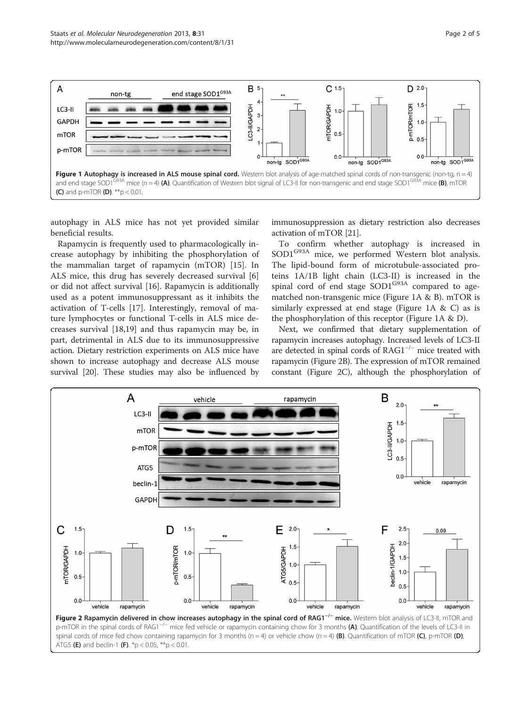<span id="page-1-0"></span>

autophagy in ALS mice has not yet provided similar beneficial results.

Rapamycin is frequently used to pharmacologically increase autophagy by inhibiting the phosphorylation of the mammalian target of rapamycin (mTOR) [\[15](#page-4-0)]. In ALS mice, this drug has severely decreased survival [\[6](#page-4-0)] or did not affect survival [\[16](#page-4-0)]. Rapamycin is additionally used as a potent immunosuppressant as it inhibits the activation of T-cells [[17\]](#page-4-0). Interestingly, removal of mature lymphocytes or functional T-cells in ALS mice decreases survival [[18,19\]](#page-4-0) and thus rapamycin may be, in part, detrimental in ALS due to its immunosuppressive action. Dietary restriction experiments on ALS mice have shown to increase autophagy and decrease ALS mouse survival [[20](#page-4-0)]. These studies may also be influenced by immunosuppression as dietary restriction also decreases activation of mTOR [\[21\]](#page-4-0).

To confirm whether autophagy is increased in SOD1<sup>G93A</sup> mice, we performed Western blot analysis. The lipid-bound form of microtubule-associated proteins 1A/1B light chain (LC3-II) is increased in the spinal cord of end stage SOD1<sup>G93A</sup> compared to agematched non-transgenic mice (Figure 1A & B). mTOR is similarly expressed at end stage (Figure 1A & C) as is the phosphorylation of this receptor (Figure 1A & D).

Next, we confirmed that dietary supplementation of rapamycin increases autophagy. Increased levels of LC3-II are detected in spinal cords of RAG1−/<sup>−</sup> mice treated with rapamycin (Figure 2B). The expression of mTOR remained constant (Figure 2C), although the phosphorylation of

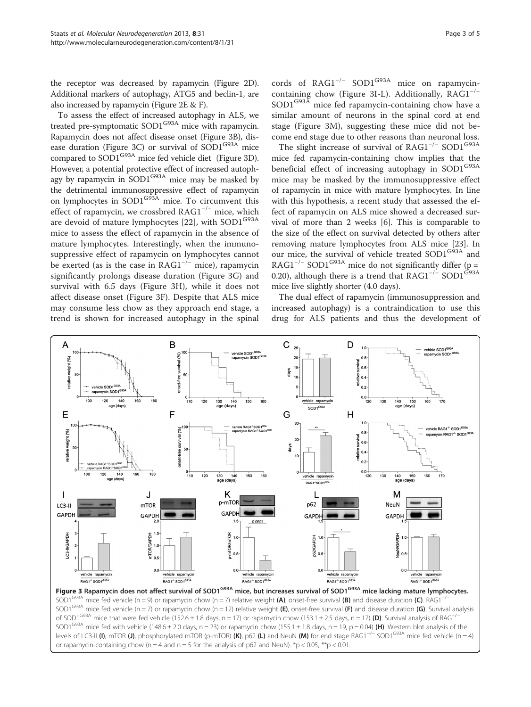<span id="page-2-0"></span>the receptor was decreased by rapamycin (Figure [2](#page-1-0)D). Additional markers of autophagy, ATG5 and beclin-1, are also increased by rapamycin (Figure [2](#page-1-0)E & F).

To assess the effect of increased autophagy in ALS, we treated pre-symptomatic SOD1<sup>G93A</sup> mice with rapamycin. Rapamycin does not affect disease onset (Figure 3B), disease duration (Figure 3C) or survival of  $SOD1<sup>G93A</sup>$  mice compared to SOD1G93A mice fed vehicle diet (Figure 3D). However, a potential protective effect of increased autophagy by rapamycin in SOD1<sup>G93A</sup> mice may be masked by the detrimental immunosuppressive effect of rapamycin on lymphocytes in SOD1<sup>G93A</sup> mice. To circumvent this effect of rapamycin, we crossbred RAG1−/<sup>−</sup> mice, which are devoid of mature lymphocytes [[22\]](#page-4-0), with SOD1<sup>G93A</sup> mice to assess the effect of rapamycin in the absence of mature lymphocytes. Interestingly, when the immunosuppressive effect of rapamycin on lymphocytes cannot be exerted (as is the case in  $RAG1^{-/-}$  mice), rapamycin significantly prolongs disease duration (Figure 3G) and survival with 6.5 days (Figure 3H), while it does not affect disease onset (Figure 3F). Despite that ALS mice may consume less chow as they approach end stage, a trend is shown for increased autophagy in the spinal cords of RAG1<sup>-/-</sup> SOD1<sup>G93A</sup> mice on rapamycincontaining chow (Figure 3I-L). Additionally,  $RAG1^{-/-}$ SOD1<sup>G93A</sup> mice fed rapamycin-containing chow have a similar amount of neurons in the spinal cord at end stage (Figure 3M), suggesting these mice did not become end stage due to other reasons than neuronal loss.

The slight increase of survival of RAG1<sup>-/-</sup> SOD1<sup>G93A</sup> mice fed rapamycin-containing chow implies that the beneficial effect of increasing autophagy in SOD1<sup>G93A</sup> mice may be masked by the immunosuppressive effect of rapamycin in mice with mature lymphocytes. In line with this hypothesis, a recent study that assessed the effect of rapamycin on ALS mice showed a decreased survival of more than 2 weeks [\[6](#page-4-0)]. This is comparable to the size of the effect on survival detected by others after removing mature lymphocytes from ALS mice [\[23](#page-4-0)]. In our mice, the survival of vehicle treated SOD1<sup>G93A</sup> and RAG1<sup>-/-</sup> SOD1<sup>G93A</sup> mice do not significantly differ (p = 0.20), although there is a trend that RAG1<sup>-/-</sup> SOD1<sup>G93A</sup> mice live slightly shorter (4.0 days).

The dual effect of rapamycin (immunosuppression and increased autophagy) is a contraindication to use this drug for ALS patients and thus the development of



Figure 3 Rapamycin does not affect survival of SOD1<sup>G93A</sup> mice, but increases survival of SOD1<sup>G93A</sup> mice lacking mature lymphocytes. SOD1<sup>G93A</sup> mice fed vehicle (n = 9) or rapamycin chow (n = 7) relative weight (A), onset-free survival (B) and disease duration (C). RAG1<sup>-</sup> SOD1<sup>G93A</sup> mice fed vehicle (n = 7) or rapamycin chow (n = 12) relative weight (E), onset-free survival (F) and disease duration (G). Survival analysis of SOD1<sup>G93A</sup> mice that were fed vehicle (152.6 ± 1.8 days, n = 17) or rapamycin chow (153.1 ± 2.5 days, n = 17) **(D)**. Survival analysis of RAG<sup>-/</sup> SOD1<sup>G93A</sup> mice fed with vehicle (148.6 ± 2.0 days, n = 23) or rapamycin chow (155.1 ± 1.8 days, n = 19, p = 0.04) (H). Western blot analysis of the levels of LC3-II (I), mTOR (J), phosphorylated mTOR (p-mTOR) (K), p62 (L) and NeuN (M) for end stage RAG1−/<sup>−</sup> SOD1G93A mice fed vehicle (n = 4) or rapamycin-containing chow (n = 4 and n = 5 for the analysis of p62 and NeuN). \*p < 0.05, \*\*p < 0.01.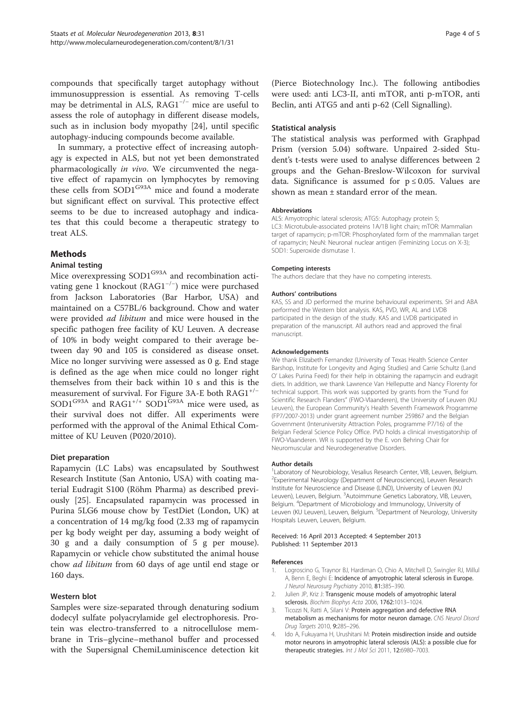<span id="page-3-0"></span>compounds that specifically target autophagy without immunosuppression is essential. As removing T-cells may be detrimental in ALS,  $RAG1^{-/-}$  mice are useful to assess the role of autophagy in different disease models, such as in inclusion body myopathy [[24](#page-4-0)], until specific autophagy-inducing compounds become available.

In summary, a protective effect of increasing autophagy is expected in ALS, but not yet been demonstrated pharmacologically in vivo. We circumvented the negative effect of rapamycin on lymphocytes by removing these cells from SOD1<sup>G93A</sup> mice and found a moderate but significant effect on survival. This protective effect seems to be due to increased autophagy and indicates that this could become a therapeutic strategy to treat ALS.

## Methods

### Animal testing

Mice overexpressing SOD1<sup>G93A</sup> and recombination activating gene 1 knockout (RAG1−/<sup>−</sup> ) mice were purchased from Jackson Laboratories (Bar Harbor, USA) and maintained on a C57BL/6 background. Chow and water were provided ad libitum and mice were housed in the specific pathogen free facility of KU Leuven. A decrease of 10% in body weight compared to their average between day 90 and 105 is considered as disease onset. Mice no longer surviving were assessed as 0 g. End stage is defined as the age when mice could no longer right themselves from their back within 10 s and this is the measurement of survival. For Figure [3](#page-2-0)A-E both RAG1+/<sup>−</sup>  $SOD1^{G93A}$  and RAG1<sup>+/+</sup> SOD1<sup>G93A</sup> mice were used, as their survival does not differ. All experiments were performed with the approval of the Animal Ethical Committee of KU Leuven (P020/2010).

#### Diet preparation

Rapamycin (LC Labs) was encapsulated by Southwest Research Institute (San Antonio, USA) with coating material Eudragit S100 (Röhm Pharma) as described previously [[25\]](#page-4-0). Encapsulated rapamycin was processed in Purina 5LG6 mouse chow by TestDiet (London, UK) at a concentration of 14 mg/kg food (2.33 mg of rapamycin per kg body weight per day, assuming a body weight of 30 g and a daily consumption of 5 g per mouse). Rapamycin or vehicle chow substituted the animal house chow ad libitum from 60 days of age until end stage or 160 days.

## Western blot

Samples were size-separated through denaturing sodium dodecyl sulfate polyacrylamide gel electrophoresis. Protein was electro-transferred to a nitrocellulose membrane in Tris–glycine–methanol buffer and processed with the Supersignal ChemiLuminiscence detection kit (Pierce Biotechnology Inc.). The following antibodies were used: anti LC3-II, anti mTOR, anti p-mTOR, anti Beclin, anti ATG5 and anti p-62 (Cell Signalling).

#### Statistical analysis

The statistical analysis was performed with Graphpad Prism (version 5.04) software. Unpaired 2-sided Student's t-tests were used to analyse differences between 2 groups and the Gehan-Breslow-Wilcoxon for survival data. Significance is assumed for  $p \le 0.05$ . Values are shown as mean ± standard error of the mean.

#### Abbreviations

ALS: Amyotrophic lateral sclerosis; ATG5: Autophagy protein 5; LC3: Microtubule-associated proteins 1A/1B light chain; mTOR: Mammalian target of rapamycin; p-mTOR: Phosphorylated form of the mammalian target of rapamycin; NeuN: Neuronal nuclear antigen (Feminizing Locus on X-3); SOD1: Superoxide dismutase 1.

#### Competing interests

The authors declare that they have no competing interests.

#### Authors' contributions

KAS, SS and JD performed the murine behavioural experiments. SH and ABA performed the Western blot analysis. KAS, PVD, WR, AL and LVDB participated in the design of the study. KAS and LVDB participated in preparation of the manuscript. All authors read and approved the final manuscript.

#### Acknowledgements

We thank Elizabeth Fernandez (University of Texas Health Science Center Barshop, Institute for Longevity and Aging Studies) and Carrie Schultz (Land O' Lakes Purina Feed) for their help in obtaining the rapamycin and eudragit diets. In addition, we thank Lawrence Van Helleputte and Nancy Florenty for technical support. This work was supported by grants from the "Fund for Scientific Research Flanders" (FWO-Vlaanderen), the University of Leuven (KU Leuven), the European Community's Health Seventh Framework Programme (FP7/2007-2013) under grant agreement number 259867 and the Belgian Government (Interuniversity Attraction Poles, programme P7/16) of the Belgian Federal Science Policy Office. PVD holds a clinical investigatorship of FWO-Vlaanderen. WR is supported by the E. von Behring Chair for Neuromuscular and Neurodegenerative Disorders.

#### Author details

<sup>1</sup> Laboratory of Neurobiology, Vesalius Research Center, VIB, Leuven, Belgium. <sup>2</sup> Experimental Neurology (Department of Neurosciences), Leuven Research Institute for Neuroscience and Disease (LIND), University of Leuven (KU Leuven), Leuven, Belgium. <sup>3</sup>Autoimmune Genetics Laboratory, VIB, Leuven Belgium. <sup>4</sup> Department of Microbiology and Immunology, University of Leuven (KU Leuven), Leuven, Belgium. <sup>5</sup>Department of Neurology, University Hospitals Leuven, Leuven, Belgium.

Received: 16 April 2013 Accepted: 4 September 2013 Published: 11 September 2013

#### References

- 1. Logroscino G, Traynor BJ, Hardiman O, Chio A, Mitchell D, Swingler RJ, Millul A, Benn E, Beghi E: Incidence of amyotrophic lateral sclerosis in Europe. J Neurol Neurosurg Psychiatry 2010, 81:385–390.
- 2. Julien JP, Kriz J: Transgenic mouse models of amyotrophic lateral sclerosis. Biochim Biophys Acta 2006, 1762:1013-1024
- 3. Ticozzi N, Ratti A, Silani V: Protein aggregation and defective RNA metabolism as mechanisms for motor neuron damage. CNS Neurol Disord Drug Targets 2010, 9:285–296.
- 4. Ido A, Fukuyama H, Urushitani M: Protein misdirection inside and outside motor neurons in amyotrophic lateral sclerosis (ALS): a possible clue for therapeutic strategies. Int J Mol Sci 2011, 12:6980-7003.